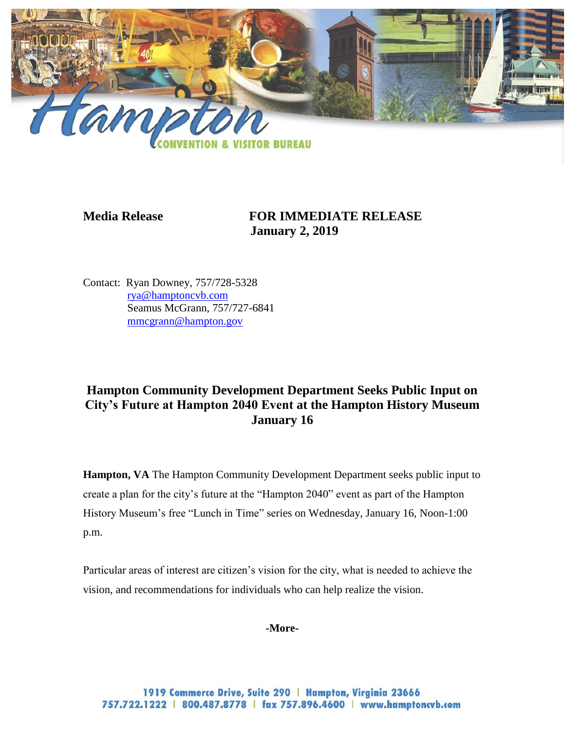

## **Media Release FOR IMMEDIATE RELEASE January 2, 2019**

Contact: Ryan Downey, 757/728-5328 [rya@hamptoncvb.com](mailto:rya@hamptoncvb.com) Seamus McGrann, 757/727-6841 [mmcgrann@hampton.gov](mailto:mmcgrann@hampton.gov)

## **Hampton Community Development Department Seeks Public Input on City's Future at Hampton 2040 Event at the Hampton History Museum January 16**

**Hampton, VA** The Hampton Community Development Department seeks public input to create a plan for the city's future at the "Hampton 2040" event as part of the Hampton History Museum's free "Lunch in Time" series on Wednesday, January 16, Noon-1:00 p.m.

Particular areas of interest are citizen's vision for the city, what is needed to achieve the vision, and recommendations for individuals who can help realize the vision.

**-More-**

1919 Commerce Drive, Suite 290 | Hampton, Virginia 23666 757.722.1222 | 800.487.8778 | fax 757.896.4600 | www.hamptoncvb.com